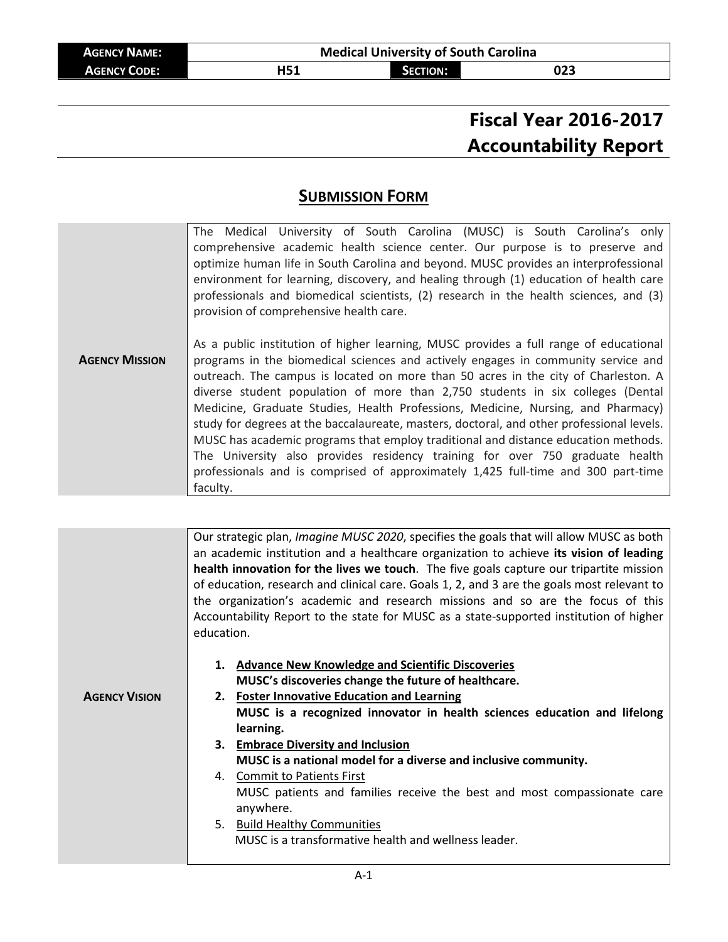| <b>AGENCY NAME:</b> | <b>Medical University of South Carolina</b> |                 |     |  |
|---------------------|---------------------------------------------|-----------------|-----|--|
| <b>AGENCY CODE:</b> | H51                                         | <b>SECTION:</b> | 023 |  |

# **Fiscal Year 2016-2017 Accountability Report**

## **SUBMISSION FORM**

|                       | The Medical University of South Carolina (MUSC) is South Carolina's only<br>comprehensive academic health science center. Our purpose is to preserve and<br>optimize human life in South Carolina and beyond. MUSC provides an interprofessional<br>environment for learning, discovery, and healing through (1) education of health care                                                                                                                                                                                                                                                                                                                                                                                                                                                                  |  |  |
|-----------------------|------------------------------------------------------------------------------------------------------------------------------------------------------------------------------------------------------------------------------------------------------------------------------------------------------------------------------------------------------------------------------------------------------------------------------------------------------------------------------------------------------------------------------------------------------------------------------------------------------------------------------------------------------------------------------------------------------------------------------------------------------------------------------------------------------------|--|--|
|                       | professionals and biomedical scientists, (2) research in the health sciences, and (3)<br>provision of comprehensive health care.                                                                                                                                                                                                                                                                                                                                                                                                                                                                                                                                                                                                                                                                           |  |  |
| <b>AGENCY MISSION</b> | As a public institution of higher learning, MUSC provides a full range of educational<br>programs in the biomedical sciences and actively engages in community service and<br>outreach. The campus is located on more than 50 acres in the city of Charleston. A<br>diverse student population of more than 2,750 students in six colleges (Dental<br>Medicine, Graduate Studies, Health Professions, Medicine, Nursing, and Pharmacy)<br>study for degrees at the baccalaureate, masters, doctoral, and other professional levels.<br>MUSC has academic programs that employ traditional and distance education methods.<br>The University also provides residency training for over 750 graduate health<br>professionals and is comprised of approximately 1,425 full-time and 300 part-time<br>faculty. |  |  |

|                      |            | Our strategic plan, <i>Imagine MUSC 2020</i> , specifies the goals that will allow MUSC as both |  |  |
|----------------------|------------|-------------------------------------------------------------------------------------------------|--|--|
|                      |            | an academic institution and a healthcare organization to achieve its vision of leading          |  |  |
|                      |            | health innovation for the lives we touch. The five goals capture our tripartite mission         |  |  |
|                      |            | of education, research and clinical care. Goals 1, 2, and 3 are the goals most relevant to      |  |  |
|                      |            | the organization's academic and research missions and so are the focus of this                  |  |  |
|                      |            | Accountability Report to the state for MUSC as a state-supported institution of higher          |  |  |
|                      | education. |                                                                                                 |  |  |
|                      |            |                                                                                                 |  |  |
|                      |            | 1. Advance New Knowledge and Scientific Discoveries                                             |  |  |
|                      |            | MUSC's discoveries change the future of healthcare.                                             |  |  |
| <b>AGENCY VISION</b> |            | 2. Foster Innovative Education and Learning                                                     |  |  |
|                      |            | MUSC is a recognized innovator in health sciences education and lifelong                        |  |  |
|                      |            | learning.                                                                                       |  |  |
|                      |            | 3. Embrace Diversity and Inclusion                                                              |  |  |
|                      |            | MUSC is a national model for a diverse and inclusive community.                                 |  |  |
|                      |            | 4. Commit to Patients First                                                                     |  |  |
|                      |            | MUSC patients and families receive the best and most compassionate care                         |  |  |
|                      |            | anywhere.                                                                                       |  |  |
|                      |            | 5. Build Healthy Communities                                                                    |  |  |
|                      |            | MUSC is a transformative health and wellness leader.                                            |  |  |
|                      |            |                                                                                                 |  |  |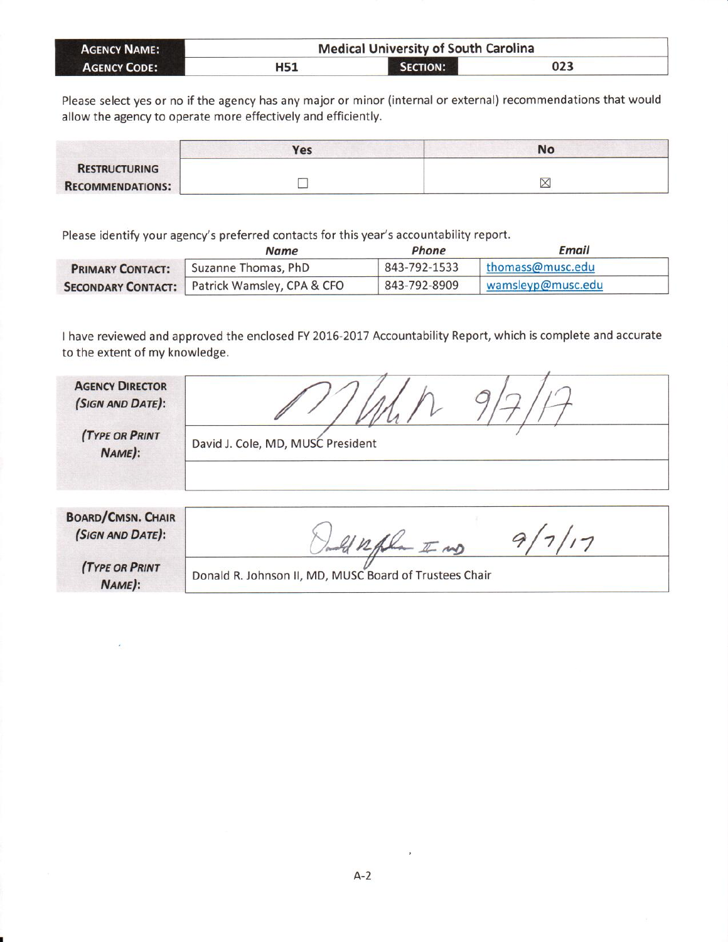| <b>AGENCY NAME:</b> |     | <b>Medical University of South Carolina</b> |     |  |
|---------------------|-----|---------------------------------------------|-----|--|
| <b>AGENCY CODE:</b> | H51 | SECTION:                                    | 023 |  |

Please select yes or no if the agency has any major or minor (internal or external) recommendations that would allow the agency to operate more effectively and efficiently.

|                         | Yes | No               |
|-------------------------|-----|------------------|
| <b>RESTRUCTURING</b>    |     |                  |
| <b>RECOMMENDATIONS:</b> |     | ▽<br>$\triangle$ |

Please identify your agency's preferred contacts for this year's accountability report.

|                         | Name                                                 | Phone        | <b>Email</b>      |
|-------------------------|------------------------------------------------------|--------------|-------------------|
| <b>PRIMARY CONTACT:</b> | Suzanne Thomas, PhD                                  | 843-792-1533 | thomass@musc.edu  |
|                         | <b>SECONDARY CONTACT:</b> Patrick Wamsley, CPA & CFO | 843-792-8909 | wamsleyp@musc.edu |

I have reviewed and approved the enclosed FY 2016-2017 Accountability Report, which is complete and accurate to the extent of my knowledge.

| <b>AGENCY DIRECTOR</b><br>(SIGN AND DATE):<br><b>(TYPE OR PRINT</b><br>NAME):   | David J. Cole, MD, MUSC President                                      |
|---------------------------------------------------------------------------------|------------------------------------------------------------------------|
| <b>BOARD/CMSN. CHAIR</b><br>(SIGN AND DATE):<br><b>(TYPE OR PRINT</b><br>NAME): | $-\sqrt{2}w$<br>Donald R. Johnson II, MD, MUSC Board of Trustees Chair |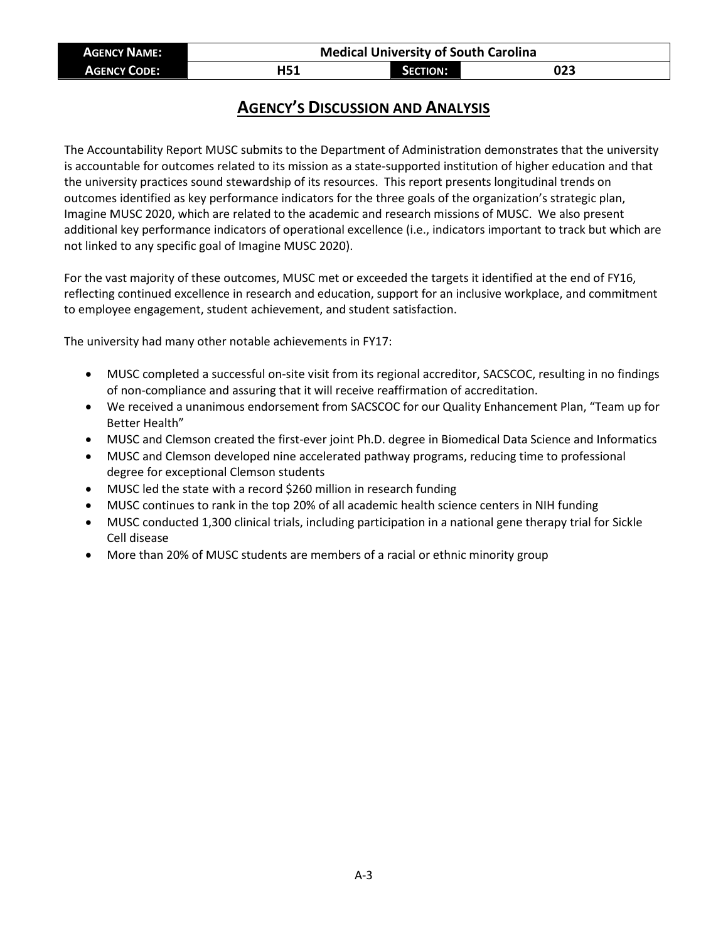| <b>AGENCY NAME:</b> | <b>Medical University of South Carolina</b> |                 |     |  |
|---------------------|---------------------------------------------|-----------------|-----|--|
| <b>AGENCY CODE:</b> | H51                                         | <b>SECTION:</b> | 023 |  |

## **AGENCY'S DISCUSSION AND ANALYSIS**

The Accountability Report MUSC submits to the Department of Administration demonstrates that the university is accountable for outcomes related to its mission as a state-supported institution of higher education and that the university practices sound stewardship of its resources. This report presents longitudinal trends on outcomes identified as key performance indicators for the three goals of the organization's strategic plan, Imagine MUSC 2020, which are related to the academic and research missions of MUSC. We also present additional key performance indicators of operational excellence (i.e., indicators important to track but which are not linked to any specific goal of Imagine MUSC 2020).

For the vast majority of these outcomes, MUSC met or exceeded the targets it identified at the end of FY16, reflecting continued excellence in research and education, support for an inclusive workplace, and commitment to employee engagement, student achievement, and student satisfaction.

The university had many other notable achievements in FY17:

- MUSC completed a successful on-site visit from its regional accreditor, SACSCOC, resulting in no findings of non-compliance and assuring that it will receive reaffirmation of accreditation.
- We received a unanimous endorsement from SACSCOC for our Quality Enhancement Plan, "Team up for Better Health"
- MUSC and Clemson created the first-ever joint Ph.D. degree in Biomedical Data Science and Informatics
- MUSC and Clemson developed nine accelerated pathway programs, reducing time to professional degree for exceptional Clemson students
- MUSC led the state with a record \$260 million in research funding
- MUSC continues to rank in the top 20% of all academic health science centers in NIH funding
- MUSC conducted 1,300 clinical trials, including participation in a national gene therapy trial for Sickle Cell disease
- More than 20% of MUSC students are members of a racial or ethnic minority group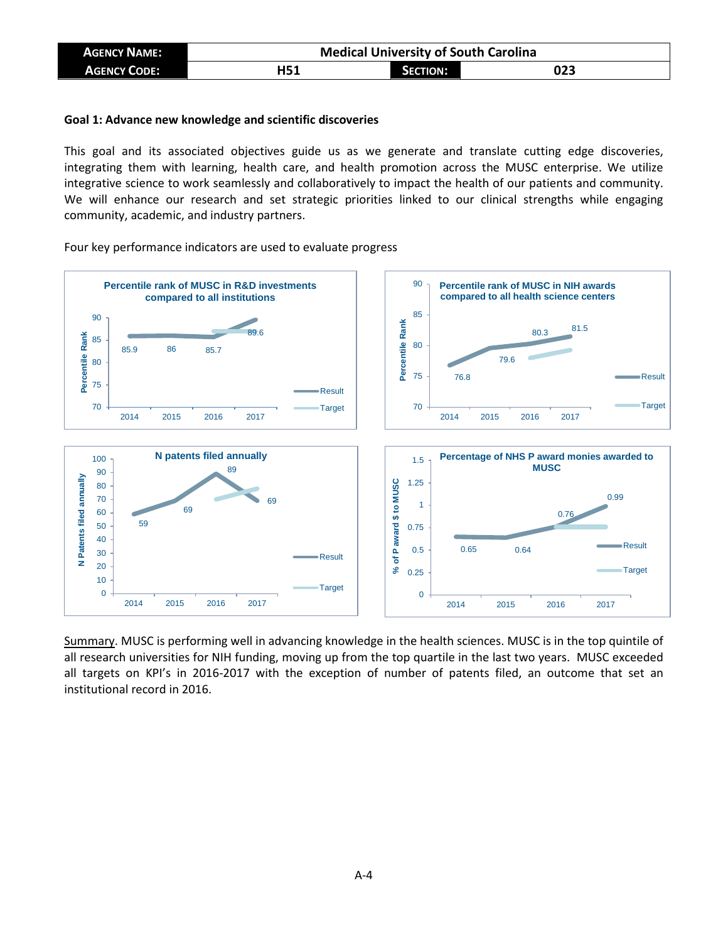| <b>AGENCY NAME:</b> | <b>Medical University of South Carolina</b> |                 |     |
|---------------------|---------------------------------------------|-----------------|-----|
| <b>AGENCY CODE:</b> | H51                                         | <b>SECTION:</b> | 023 |

### **Goal 1: Advance new knowledge and scientific discoveries**

This goal and its associated objectives guide us as we generate and translate cutting edge discoveries, integrating them with learning, health care, and health promotion across the MUSC enterprise. We utilize integrative science to work seamlessly and collaboratively to impact the health of our patients and community. We will enhance our research and set strategic priorities linked to our clinical strengths while engaging community, academic, and industry partners.



Four key performance indicators are used to evaluate progress

Summary. MUSC is performing well in advancing knowledge in the health sciences. MUSC is in the top quintile of all research universities for NIH funding, moving up from the top quartile in the last two years. MUSC exceeded all targets on KPI's in 2016-2017 with the exception of number of patents filed, an outcome that set an institutional record in 2016.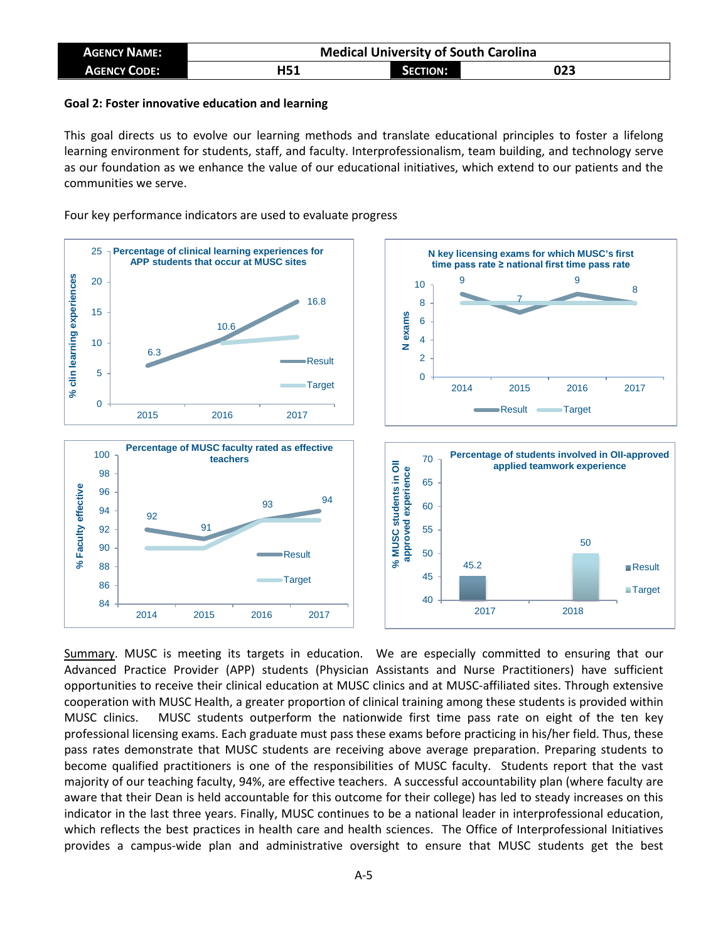| <b>AGENCY NAME:</b> | <b>Medical University of South Carolina</b> |                 |     |
|---------------------|---------------------------------------------|-----------------|-----|
| <b>AGENCY CODE:</b> | H51                                         | <b>SECTION:</b> | 023 |

### **Goal 2: Foster innovative education and learning**

This goal directs us to evolve our learning methods and translate educational principles to foster a lifelong learning environment for students, staff, and faculty. Interprofessionalism, team building, and technology serve as our foundation as we enhance the value of our educational initiatives, which extend to our patients and the communities we serve.

Four key performance indicators are used to evaluate progress



Summary. MUSC is meeting its targets in education. We are especially committed to ensuring that our Advanced Practice Provider (APP) students (Physician Assistants and Nurse Practitioners) have sufficient opportunities to receive their clinical education at MUSC clinics and at MUSC-affiliated sites. Through extensive cooperation with MUSC Health, a greater proportion of clinical training among these students is provided within MUSC clinics. MUSC students outperform the nationwide first time pass rate on eight of the ten key professional licensing exams. Each graduate must pass these exams before practicing in his/her field. Thus, these pass rates demonstrate that MUSC students are receiving above average preparation. Preparing students to become qualified practitioners is one of the responsibilities of MUSC faculty. Students report that the vast majority of our teaching faculty, 94%, are effective teachers. A successful accountability plan (where faculty are aware that their Dean is held accountable for this outcome for their college) has led to steady increases on this indicator in the last three years. Finally, MUSC continues to be a national leader in interprofessional education, which reflects the best practices in health care and health sciences. The Office of Interprofessional Initiatives provides a campus-wide plan and administrative oversight to ensure that MUSC students get the best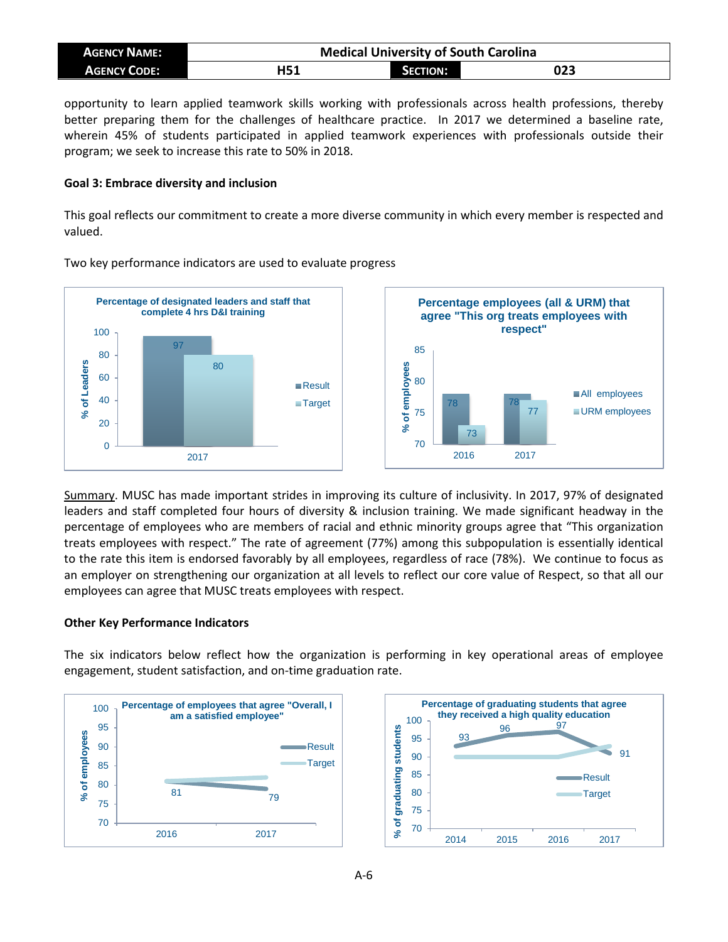| <b>AGENCY NAME:</b> | <b>Medical University of South Carolina</b> |          |     |
|---------------------|---------------------------------------------|----------|-----|
| <b>AGENCY CODE:</b> | H51                                         | SECTION: | 023 |

opportunity to learn applied teamwork skills working with professionals across health professions, thereby better preparing them for the challenges of healthcare practice. In 2017 we determined a baseline rate, wherein 45% of students participated in applied teamwork experiences with professionals outside their program; we seek to increase this rate to 50% in 2018.

## **Goal 3: Embrace diversity and inclusion**

This goal reflects our commitment to create a more diverse community in which every member is respected and valued.



Two key performance indicators are used to evaluate progress

Summary. MUSC has made important strides in improving its culture of inclusivity. In 2017, 97% of designated leaders and staff completed four hours of diversity & inclusion training. We made significant headway in the percentage of employees who are members of racial and ethnic minority groups agree that "This organization treats employees with respect." The rate of agreement (77%) among this subpopulation is essentially identical to the rate this item is endorsed favorably by all employees, regardless of race (78%). We continue to focus as an employer on strengthening our organization at all levels to reflect our core value of Respect, so that all our employees can agree that MUSC treats employees with respect.

### **Other Key Performance Indicators**

The six indicators below reflect how the organization is performing in key operational areas of employee engagement, student satisfaction, and on-time graduation rate.



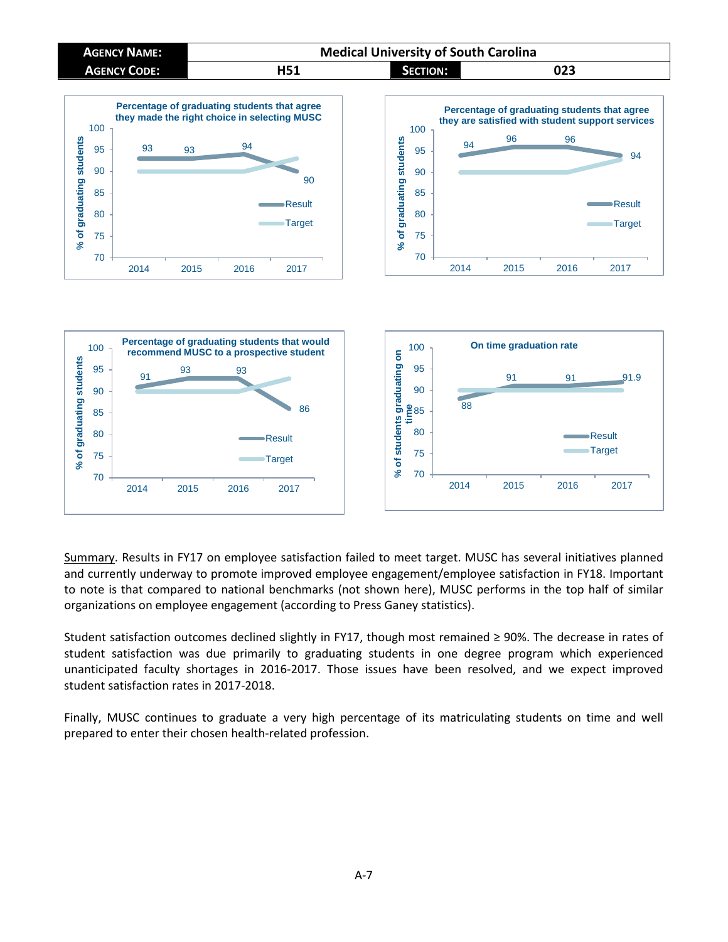



Summary. Results in FY17 on employee satisfaction failed to meet target. MUSC has several initiatives planned and currently underway to promote improved employee engagement/employee satisfaction in FY18. Important to note is that compared to national benchmarks (not shown here), MUSC performs in the top half of similar organizations on employee engagement (according to Press Ganey statistics).

Student satisfaction outcomes declined slightly in FY17, though most remained ≥ 90%. The decrease in rates of student satisfaction was due primarily to graduating students in one degree program which experienced unanticipated faculty shortages in 2016-2017. Those issues have been resolved, and we expect improved student satisfaction rates in 2017-2018.

Finally, MUSC continues to graduate a very high percentage of its matriculating students on time and well prepared to enter their chosen health-related profession.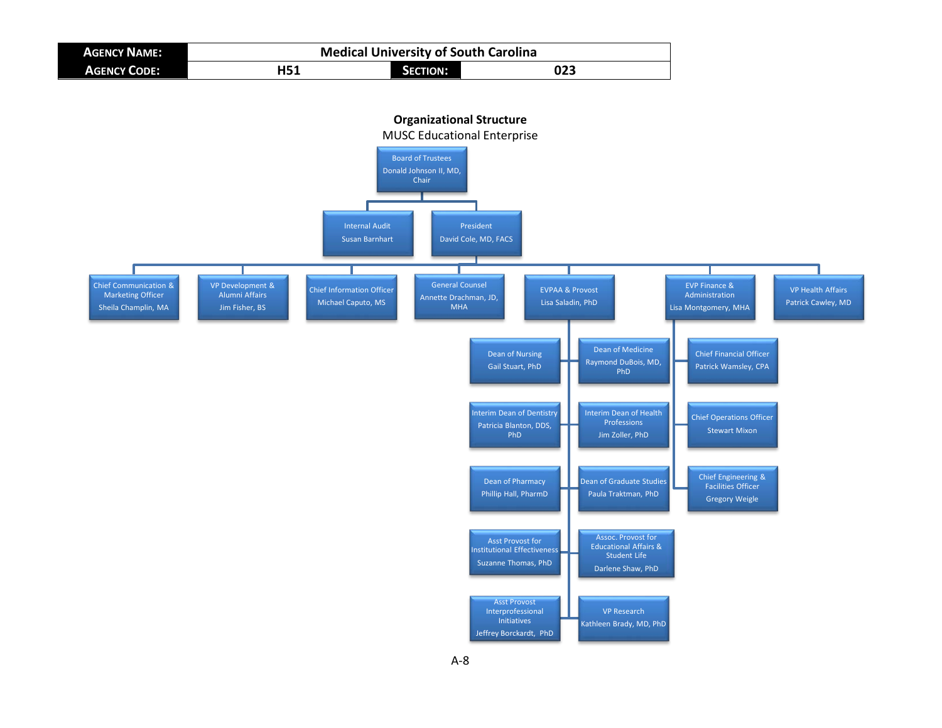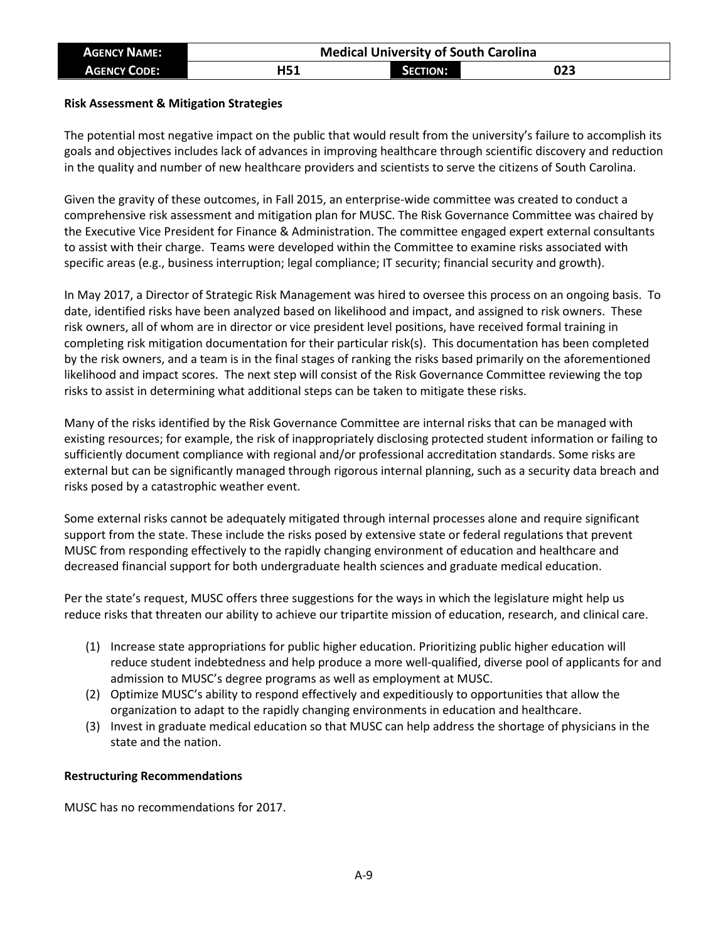| <b>AGENCY NAME:</b> | <b>Medical University of South Carolina</b> |                 |     |
|---------------------|---------------------------------------------|-----------------|-----|
| <b>AGENCY CODE:</b> | H51                                         | <b>SECTION:</b> | 023 |

## **Risk Assessment & Mitigation Strategies**

The potential most negative impact on the public that would result from the university's failure to accomplish its goals and objectives includes lack of advances in improving healthcare through scientific discovery and reduction in the quality and number of new healthcare providers and scientists to serve the citizens of South Carolina.

Given the gravity of these outcomes, in Fall 2015, an enterprise-wide committee was created to conduct a comprehensive risk assessment and mitigation plan for MUSC. The Risk Governance Committee was chaired by the Executive Vice President for Finance & Administration. The committee engaged expert external consultants to assist with their charge. Teams were developed within the Committee to examine risks associated with specific areas (e.g., business interruption; legal compliance; IT security; financial security and growth).

In May 2017, a Director of Strategic Risk Management was hired to oversee this process on an ongoing basis. To date, identified risks have been analyzed based on likelihood and impact, and assigned to risk owners. These risk owners, all of whom are in director or vice president level positions, have received formal training in completing risk mitigation documentation for their particular risk(s). This documentation has been completed by the risk owners, and a team is in the final stages of ranking the risks based primarily on the aforementioned likelihood and impact scores. The next step will consist of the Risk Governance Committee reviewing the top risks to assist in determining what additional steps can be taken to mitigate these risks.

Many of the risks identified by the Risk Governance Committee are internal risks that can be managed with existing resources; for example, the risk of inappropriately disclosing protected student information or failing to sufficiently document compliance with regional and/or professional accreditation standards. Some risks are external but can be significantly managed through rigorous internal planning, such as a security data breach and risks posed by a catastrophic weather event.

Some external risks cannot be adequately mitigated through internal processes alone and require significant support from the state. These include the risks posed by extensive state or federal regulations that prevent MUSC from responding effectively to the rapidly changing environment of education and healthcare and decreased financial support for both undergraduate health sciences and graduate medical education.

Per the state's request, MUSC offers three suggestions for the ways in which the legislature might help us reduce risks that threaten our ability to achieve our tripartite mission of education, research, and clinical care.

- (1) Increase state appropriations for public higher education. Prioritizing public higher education will reduce student indebtedness and help produce a more well-qualified, diverse pool of applicants for and admission to MUSC's degree programs as well as employment at MUSC.
- (2) Optimize MUSC's ability to respond effectively and expeditiously to opportunities that allow the organization to adapt to the rapidly changing environments in education and healthcare.
- (3) Invest in graduate medical education so that MUSC can help address the shortage of physicians in the state and the nation.

### **Restructuring Recommendations**

MUSC has no recommendations for 2017.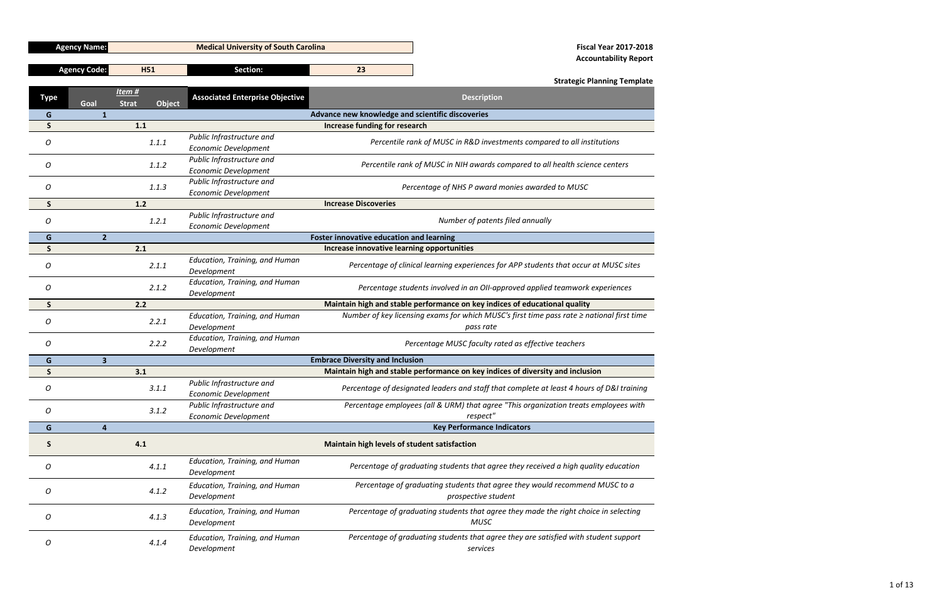1 of 13

|              | <b>Agency Name:</b>     |                                         | <b>Fiscal Year 2017-2018</b><br><b>Medical University of South Carolina</b>                                                   |                                                                                       |                                                                                                     |  |  |  |  |
|--------------|-------------------------|-----------------------------------------|-------------------------------------------------------------------------------------------------------------------------------|---------------------------------------------------------------------------------------|-----------------------------------------------------------------------------------------------------|--|--|--|--|
|              |                         |                                         |                                                                                                                               | <b>Accountability Report</b>                                                          |                                                                                                     |  |  |  |  |
|              | <b>Agency Code:</b>     | <b>H51</b>                              | <b>Section:</b>                                                                                                               | 23                                                                                    |                                                                                                     |  |  |  |  |
|              |                         |                                         |                                                                                                                               |                                                                                       | <b>Strategic Planning Template</b>                                                                  |  |  |  |  |
| <b>Type</b>  | Goal                    | Item #<br><b>Object</b><br><b>Strat</b> | <b>Associated Enterprise Objective</b>                                                                                        |                                                                                       | <b>Description</b>                                                                                  |  |  |  |  |
| G            | $\mathbf{1}$            |                                         |                                                                                                                               | Advance new knowledge and scientific discoveries                                      |                                                                                                     |  |  |  |  |
| S            |                         | 1.1                                     |                                                                                                                               | Increase funding for research                                                         |                                                                                                     |  |  |  |  |
| 0            |                         | 1.1.1                                   | Public Infrastructure and<br><b>Economic Development</b>                                                                      |                                                                                       | Percentile rank of MUSC in R&D investments compared to all institutions                             |  |  |  |  |
| 0            |                         | 1.1.2                                   | Public Infrastructure and<br><b>Economic Development</b>                                                                      |                                                                                       | Percentile rank of MUSC in NIH awards compared to all health science centers                        |  |  |  |  |
| 0            |                         | 1.1.3                                   | Public Infrastructure and<br><b>Economic Development</b>                                                                      |                                                                                       | Percentage of NHS P award monies awarded to MUSC                                                    |  |  |  |  |
| S            |                         | $1.2$                                   |                                                                                                                               | <b>Increase Discoveries</b>                                                           |                                                                                                     |  |  |  |  |
| 0            |                         | 1.2.1                                   | Public Infrastructure and<br><b>Economic Development</b>                                                                      | Number of patents filed annually                                                      |                                                                                                     |  |  |  |  |
| G            | $\overline{2}$          |                                         |                                                                                                                               | <b>Foster innovative education and learning</b>                                       |                                                                                                     |  |  |  |  |
| S            |                         | 2.1                                     |                                                                                                                               | Increase innovative learning opportunities                                            |                                                                                                     |  |  |  |  |
| 0            |                         | 2.1.1                                   | Education, Training, and Human<br>Development                                                                                 | Percentage of clinical learning experiences for APP students that occur at MUSC sites |                                                                                                     |  |  |  |  |
| O            |                         | 2.1.2                                   | Education, Training, and Human<br>Percentage students involved in an OII-approved applied teamwork experiences<br>Development |                                                                                       |                                                                                                     |  |  |  |  |
| <sub>S</sub> |                         | 2.2                                     |                                                                                                                               |                                                                                       | Maintain high and stable performance on key indices of educational quality                          |  |  |  |  |
|              |                         |                                         |                                                                                                                               |                                                                                       |                                                                                                     |  |  |  |  |
|              |                         |                                         | Education, Training, and Human                                                                                                |                                                                                       | Number of key licensing exams for which MUSC's first time pass rate $\geq$ national first time      |  |  |  |  |
| 0            |                         | 2.2.1                                   | Development                                                                                                                   |                                                                                       | pass rate                                                                                           |  |  |  |  |
| 0            |                         | 2.2.2                                   | Education, Training, and Human<br>Development                                                                                 |                                                                                       | Percentage MUSC faculty rated as effective teachers                                                 |  |  |  |  |
| G            | $\overline{\mathbf{3}}$ |                                         |                                                                                                                               | <b>Embrace Diversity and Inclusion</b>                                                |                                                                                                     |  |  |  |  |
| S            |                         | 3.1                                     |                                                                                                                               |                                                                                       | Maintain high and stable performance on key indices of diversity and inclusion                      |  |  |  |  |
| 0            |                         | 3.1.1                                   | Public Infrastructure and<br><b>Economic Development</b>                                                                      |                                                                                       | Percentage of designated leaders and staff that complete at least 4 hours of D&I training           |  |  |  |  |
| O            |                         | 3.1.2                                   | Public Infrastructure and<br>Economic Development                                                                             |                                                                                       | Percentage employees (all & URM) that agree "This organization treats employees with<br>respect"    |  |  |  |  |
| G            | 4                       |                                         |                                                                                                                               |                                                                                       | <b>Key Performance Indicators</b>                                                                   |  |  |  |  |
| S            |                         | 4.1                                     |                                                                                                                               | Maintain high levels of student satisfaction                                          |                                                                                                     |  |  |  |  |
| O            |                         | 4.1.1                                   | Education, Training, and Human<br>Development                                                                                 |                                                                                       | Percentage of graduating students that agree they received a high quality education                 |  |  |  |  |
| 0            |                         | 4.1.2                                   | Education, Training, and Human<br>Development                                                                                 |                                                                                       | Percentage of graduating students that agree they would recommend MUSC to a<br>prospective student  |  |  |  |  |
| O            |                         | 4.1.3                                   | Education, Training, and Human<br>Development                                                                                 |                                                                                       | Percentage of graduating students that agree they made the right choice in selecting<br><b>MUSC</b> |  |  |  |  |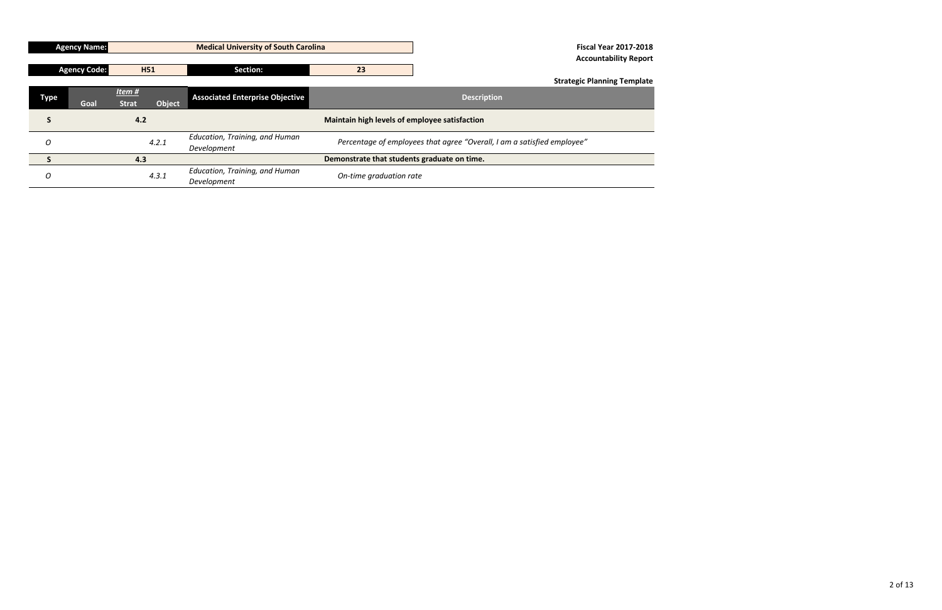|             | <b>Agency Name:</b> |                          |            | <b>Medical University of South Carolina</b>   | <b>Fiscal Year 2017-2018</b>                                            |                                    |  |  |  |  |
|-------------|---------------------|--------------------------|------------|-----------------------------------------------|-------------------------------------------------------------------------|------------------------------------|--|--|--|--|
|             |                     |                          |            |                                               |                                                                         | <b>Accountability Report</b>       |  |  |  |  |
|             | <b>Agency Code:</b> |                          | <b>H51</b> | Section:                                      | 23                                                                      |                                    |  |  |  |  |
|             |                     |                          |            |                                               |                                                                         | <b>Strategic Planning Template</b> |  |  |  |  |
| <b>Type</b> | Goal                | Item $#$<br><b>Strat</b> | Object     | <b>Associated Enterprise Objective</b>        | <b>Description</b>                                                      |                                    |  |  |  |  |
| S           |                     | 4.2                      |            |                                               | Maintain high levels of employee satisfaction                           |                                    |  |  |  |  |
| O           |                     |                          | 4.2.1      | Education, Training, and Human<br>Development | Percentage of employees that agree "Overall, I am a satisfied employee" |                                    |  |  |  |  |
|             |                     | 4.3                      |            |                                               | Demonstrate that students graduate on time.                             |                                    |  |  |  |  |
| O           |                     |                          | 4.3.1      | Education, Training, and Human<br>Development | On-time graduation rate                                                 |                                    |  |  |  |  |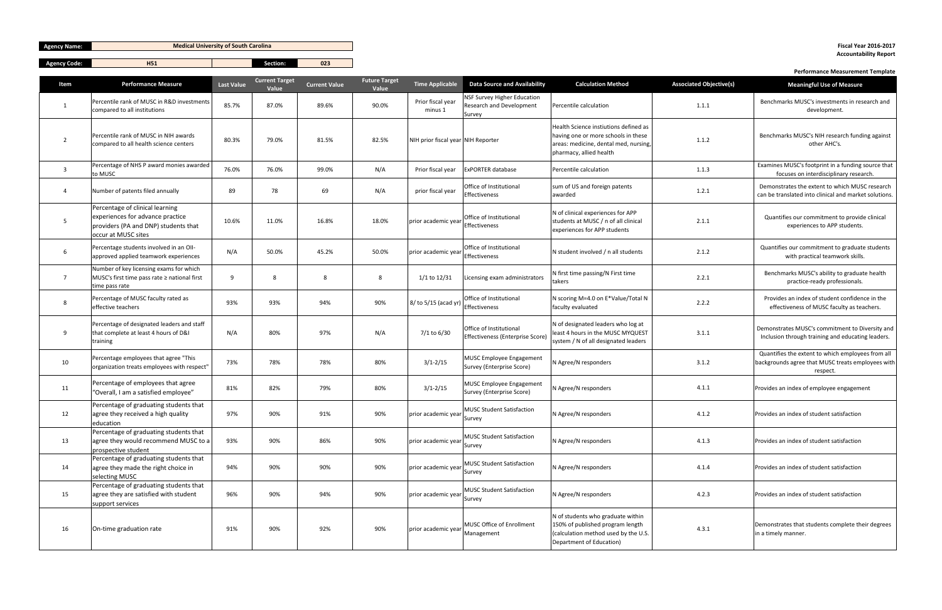| <b>Agency Name:</b> |  |
|---------------------|--|
|---------------------|--|

| 'Agency Code | .   | Section: | $\sim$      |
|--------------|-----|----------|-------------|
|              | . . |          | <b>U</b> ZJ |

|                |                                                                                                                                    |                   | <b>Current Target</b> |                      | <b>Future Target</b> |                                    |                                                                          |                                                                                                                                                  |                                | . Chommance measurement remplate                                                                                   |
|----------------|------------------------------------------------------------------------------------------------------------------------------------|-------------------|-----------------------|----------------------|----------------------|------------------------------------|--------------------------------------------------------------------------|--------------------------------------------------------------------------------------------------------------------------------------------------|--------------------------------|--------------------------------------------------------------------------------------------------------------------|
| Item           | <b>Performance Measure</b>                                                                                                         | <b>Last Value</b> | Value                 | <b>Current Value</b> | Value                | Time Applicable                    | <b>Data Source and Availability</b>                                      | <b>Calculation Method</b>                                                                                                                        | <b>Associated Objective(s)</b> | <b>Meaningful Use of Measure</b>                                                                                   |
| 1              | Percentile rank of MUSC in R&D investments<br>compared to all institutions                                                         | 85.7%             | 87.0%                 | 89.6%                | 90.0%                | Prior fiscal year<br>minus 1       | <b>NSF Survey Higher Education</b><br>Research and Development<br>Survey | Percentile calculation                                                                                                                           | 1.1.1                          | Benchmarks MUSC's investments in research and<br>development.                                                      |
| $\overline{2}$ | Percentile rank of MUSC in NIH awards<br>compared to all health science centers                                                    | 80.3%             | 79.0%                 | 81.5%                | 82.5%                | NIH prior fiscal year NIH Reporter |                                                                          | Health Science instiutions defined as<br>having one or more schools in these<br>areas: medicine, dental med, nursing,<br>pharmacy, allied health | 1.1.2                          | Benchmarks MUSC's NIH research funding against<br>other AHC's.                                                     |
| $\overline{3}$ | Percentage of NHS P award monies awarded<br>to MUSC                                                                                | 76.0%             | 76.0%                 | 99.0%                | N/A                  | Prior fiscal year                  | <b>ExPORTER database</b>                                                 | Percentile calculation                                                                                                                           | 1.1.3                          | Examines MUSC's footprint in a funding source that<br>focuses on interdisciplinary research.                       |
| $\overline{a}$ | Number of patents filed annually                                                                                                   | 89                | 78                    | 69                   | N/A                  | prior fiscal year                  | Office of Institutional<br>Effectiveness                                 | sum of US and foreign patents<br>awarded                                                                                                         | 1.2.1                          | Demonstrates the extent to which MUSC research<br>can be translated into clinical and market solutions             |
| -5             | Percentage of clinical learning<br>experiences for advance practice<br>providers (PA and DNP) students that<br>occur at MUSC sites | 10.6%             | 11.0%                 | 16.8%                | 18.0%                | prior academic year                | Office of Institutional<br>Effectiveness                                 | N of clinical experiences for APP<br>students at MUSC / n of all clinical<br>experiences for APP students                                        | 2.1.1                          | Quantifies our commitment to provide clinical<br>experiences to APP students.                                      |
| 6              | Percentage students involved in an OII-<br>approved applied teamwork experiences                                                   | N/A               | 50.0%                 | 45.2%                | 50.0%                | prior academic year                | Office of Institutional<br>Effectiveness                                 | N student involved / n all students                                                                                                              | 2.1.2                          | Quantifies our commitment to graduate students<br>with practical teamwork skills.                                  |
| $\overline{7}$ | Number of key licensing exams for which<br>MUSC's first time pass rate ≥ national first<br>time pass rate                          | q                 | -8                    | 8                    | 8                    | 1/1 to 12/31                       | Licensing exam administrators                                            | N first time passing/N First time<br>takers                                                                                                      | 2.2.1                          | Benchmarks MUSC's ability to graduate health<br>practice-ready professionals.                                      |
| 8              | Percentage of MUSC faculty rated as<br>effective teachers                                                                          | 93%               | 93%                   | 94%                  | 90%                  | 8/ to 5/15 (acad yr)               | Office of Institutional<br>Effectiveness                                 | N scoring M=4.0 on E*Value/Total N<br>faculty evaluated                                                                                          | 2.2.2                          | Provides an index of student confidence in the<br>effectiveness of MUSC faculty as teachers.                       |
| 9              | Percentage of designated leaders and staff<br>that complete at least 4 hours of D&I<br>training                                    | N/A               | 80%                   | 97%                  | N/A                  | 7/1 to 6/30                        | Office of Institutional<br>Effectiveness (Enterprise Score)              | N of designated leaders who log at<br>least 4 hours in the MUSC MYQUEST<br>system / N of all designated leaders                                  | 3.1.1                          | Demonstrates MUSC's commitment to Diversity and<br>Inclusion through training and educating leaders.               |
| 10             | Percentage employees that agree "This<br>organization treats employees with respect"                                               | 73%               | 78%                   | 78%                  | 80%                  | $3/1 - 2/15$                       | <b>MUSC Employee Engagement</b><br>Survey (Enterprise Score)             | N Agree/N responders                                                                                                                             | 3.1.2                          | Quantifies the extent to which employees from all<br>backgrounds agree that MUSC treats employees with<br>respect. |
| 11             | Percentage of employees that agree<br>"Overall, I am a satisfied employee"                                                         | 81%               | 82%                   | 79%                  | 80%                  | $3/1 - 2/15$                       | <b>MUSC Employee Engagement</b><br>Survey (Enterprise Score)             | N Agree/N responders                                                                                                                             | 4.1.1                          | Provides an index of employee engagement                                                                           |
| 12             | Percentage of graduating students that<br>agree they received a high quality<br>education                                          | 97%               | 90%                   | 91%                  | 90%                  | prior academic year                | <b>MUSC Student Satisfaction</b><br>Survey                               | N Agree/N responders                                                                                                                             | 4.1.2                          | Provides an index of student satisfaction                                                                          |
| 13             | Percentage of graduating students that<br>agree they would recommend MUSC to a<br>prospective student                              | 93%               | 90%                   | 86%                  | 90%                  | prior academic year                | <b>MUSC Student Satisfaction</b><br>Survey                               | N Agree/N responders                                                                                                                             | 4.1.3                          | Provides an index of student satisfaction                                                                          |
| 14             | Percentage of graduating students that<br>agree they made the right choice in<br>selecting MUSC                                    | 94%               | 90%                   | 90%                  | 90%                  | prior academic year                | <b>MUSC Student Satisfaction</b><br>Survey                               | N Agree/N responders                                                                                                                             | 4.1.4                          | Provides an index of student satisfaction                                                                          |
| 15             | Percentage of graduating students that<br>agree they are satisfied with student<br>support services                                | 96%               | 90%                   | 94%                  | 90%                  | prior academic year                | <b>MUSC Student Satisfaction</b><br>Survey                               | N Agree/N responders                                                                                                                             | 4.2.3                          | Provides an index of student satisfaction                                                                          |
| 16             | On-time graduation rate                                                                                                            | 91%               | 90%                   | 92%                  | 90%                  | prior academic year                | MUSC Office of Enrollment<br>Management                                  | N of students who graduate within<br>150% of published program length<br>(calculation method used by the U.S.<br>Department of Education)        | 4.3.1                          | Demonstrates that students complete their degrees<br>in a timely manner.                                           |

**Medical University of South Carolina Fiscal Year 2016-2017**

# **Accountability Report**

#### **Performance Measurement Template**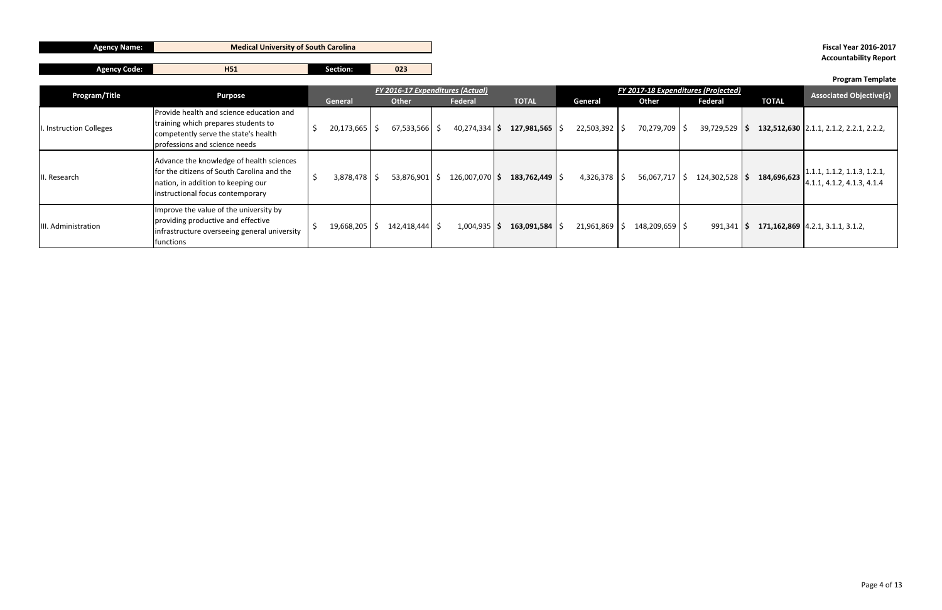|--|

**Agency Code: H51 Section: 023** 

| Program/Title          | <b>Purpose</b>                                                                                                                                                   | FY 2016-17 Expenditures (Actual) |              |                |                             | FY 2017-18 Expenditures (Projected) |                |                  |              | <b>Associated Objective(s)</b>                                    |
|------------------------|------------------------------------------------------------------------------------------------------------------------------------------------------------------|----------------------------------|--------------|----------------|-----------------------------|-------------------------------------|----------------|------------------|--------------|-------------------------------------------------------------------|
|                        |                                                                                                                                                                  | General                          | <b>Other</b> | Federal        | <b>TOTAL</b>                | General                             | <b>Other</b>   | <b>Federal</b>   | <b>TOTAL</b> |                                                                   |
| . Instruction Colleges | Provide health and science education and<br>training which prepares students to<br>competently serve the state's health<br>professions and science needs         | $20,173,665$ \$                  | 67,533,566   | 40,274,334     | $127,981,565$ $\frac{1}{2}$ | 22,503,392                          | 70,279,709     | $39,729,529$ \$  |              | 132,512,630 2.1.1, 2.1.2, 2.2.1, 2.2.2,                           |
| II. Research           | Advance the knowledge of health sciences<br>for the citizens of South Carolina and the<br>nation, in addition to keeping our<br>instructional focus contemporary | $3,878,478$ \$                   | 53,876,901   | 126,007,070 \$ | $183,762,449$   \$          | 4,326,378                           | 56,067,717     | $124,302,528$ \$ | 184,696,623  | $\vert 1.1.1, 1.1.2, 1.1.3, 1.2.1,$<br>4.1.1, 4.1.2, 4.1.3, 4.1.4 |
| III. Administration    | Improve the value of the university by<br>providing productive and effective<br>infrastructure overseeing general university<br>functions                        | $19,668,205$ \$                  | 142,418,444  | 1,004,935      | 163,091,584                 | 21,961,869                          | 148,209,659 \$ | 991,341          |              | 171, 162, 869 4.2.1, 3.1.1, 3.1.2,                                |

## **Medical University of South Carolina Fiscal Year 2016-2017 Accountability Report**

## **Program Template**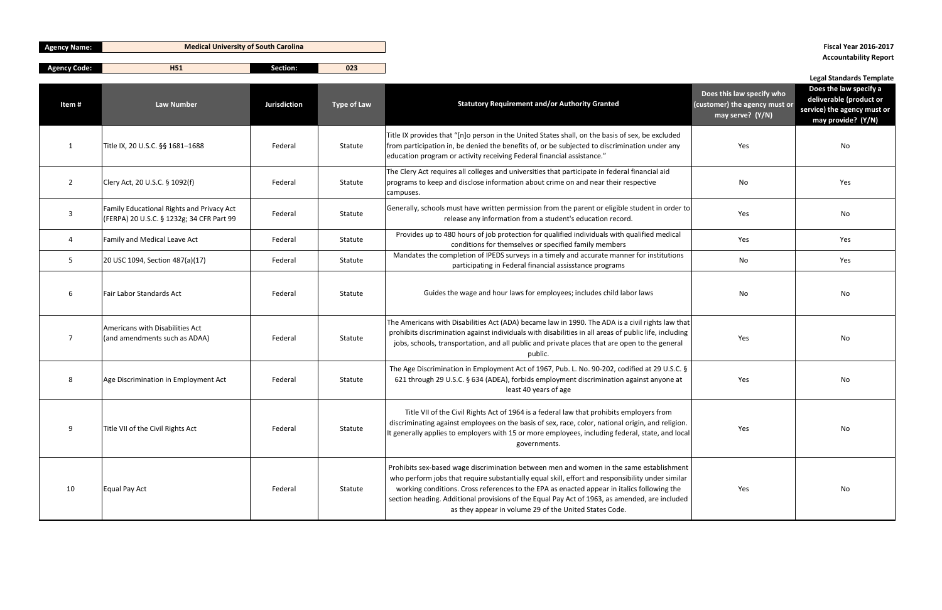**Agency Code: H51 Section: 023**

| <b>Agency Name:</b> | <b>Medical University of South Carolina</b> |
|---------------------|---------------------------------------------|
|                     |                                             |

# **Accountability Report**

## **Legal Standards Template**

| Item#          | <b>Law Number</b>                                                                      | <b>Jurisdiction</b> | <b>Type of Law</b> | <b>Statutory Requirement and/or Authority Granted</b>                                                                                                                                                                                                                                                                                                                                                                                                | Does this law specify who<br>(customer) the agency must or<br>may serve? (Y/N) | Does the law specify a<br>deliverable (product or<br>service) the agency must or<br>may provide? (Y/N) |
|----------------|----------------------------------------------------------------------------------------|---------------------|--------------------|------------------------------------------------------------------------------------------------------------------------------------------------------------------------------------------------------------------------------------------------------------------------------------------------------------------------------------------------------------------------------------------------------------------------------------------------------|--------------------------------------------------------------------------------|--------------------------------------------------------------------------------------------------------|
| -1             | Title IX, 20 U.S.C. §§ 1681-1688                                                       | Federal             | Statute            | Title IX provides that "[n]o person in the United States shall, on the basis of sex, be excluded<br>from participation in, be denied the benefits of, or be subjected to discrimination under any<br>education program or activity receiving Federal financial assistance."                                                                                                                                                                          | Yes                                                                            | No                                                                                                     |
| $\overline{2}$ | Clery Act, 20 U.S.C. § 1092(f)                                                         | Federal             | Statute            | The Clery Act requires all colleges and universities that participate in federal financial aid<br>programs to keep and disclose information about crime on and near their respective<br>campuses.                                                                                                                                                                                                                                                    | No                                                                             | Yes                                                                                                    |
| $\mathbf{3}$   | Family Educational Rights and Privacy Act<br>(FERPA) 20 U.S.C. § 1232g; 34 CFR Part 99 | Federal             | Statute            | Generally, schools must have written permission from the parent or eligible student in order to<br>release any information from a student's education record.                                                                                                                                                                                                                                                                                        | Yes                                                                            | No                                                                                                     |
| 4              | Family and Medical Leave Act                                                           | Federal             | Statute            | Provides up to 480 hours of job protection for qualified individuals with qualified medical<br>conditions for themselves or specified family members                                                                                                                                                                                                                                                                                                 | Yes                                                                            | Yes                                                                                                    |
| 5              | 20 USC 1094, Section 487(a)(17)                                                        | Federal             | Statute            | Mandates the completion of IPEDS surveys in a timely and accurate manner for institutions<br>participating in Federal financial assisstance programs                                                                                                                                                                                                                                                                                                 | No                                                                             | Yes                                                                                                    |
| 6              | Fair Labor Standards Act                                                               | Federal             | Statute            | Guides the wage and hour laws for employees; includes child labor laws                                                                                                                                                                                                                                                                                                                                                                               | No                                                                             | No                                                                                                     |
| -7             | Americans with Disabilities Act<br>(and amendments such as ADAA)                       | Federal             | Statute            | The Americans with Disabilities Act (ADA) became law in 1990. The ADA is a civil rights law that<br>prohibits discrimination against individuals with disabilities in all areas of public life, including<br>jobs, schools, transportation, and all public and private places that are open to the general<br>public.                                                                                                                                | Yes                                                                            | No                                                                                                     |
| 8              | Age Discrimination in Employment Act                                                   | Federal             | Statute            | The Age Discrimination in Employment Act of 1967, Pub. L. No. 90-202, codified at 29 U.S.C. §<br>621 through 29 U.S.C. § 634 (ADEA), forbids employment discrimination against anyone at<br>least 40 years of age                                                                                                                                                                                                                                    | Yes                                                                            | No                                                                                                     |
| 9              | Title VII of the Civil Rights Act                                                      | Federal             | Statute            | Title VII of the Civil Rights Act of 1964 is a federal law that prohibits employers from<br>discriminating against employees on the basis of sex, race, color, national origin, and religion.<br>It generally applies to employers with 15 or more employees, including federal, state, and local<br>governments.                                                                                                                                    | Yes                                                                            | No                                                                                                     |
| 10             | Equal Pay Act                                                                          | Federal             | Statute            | Prohibits sex-based wage discrimination between men and women in the same establishment<br>who perform jobs that require substantially equal skill, effort and responsibility under similar<br>working conditions. Cross references to the EPA as enacted appear in italics following the<br>section heading. Additional provisions of the Equal Pay Act of 1963, as amended, are included<br>as they appear in volume 29 of the United States Code. | Yes                                                                            | No                                                                                                     |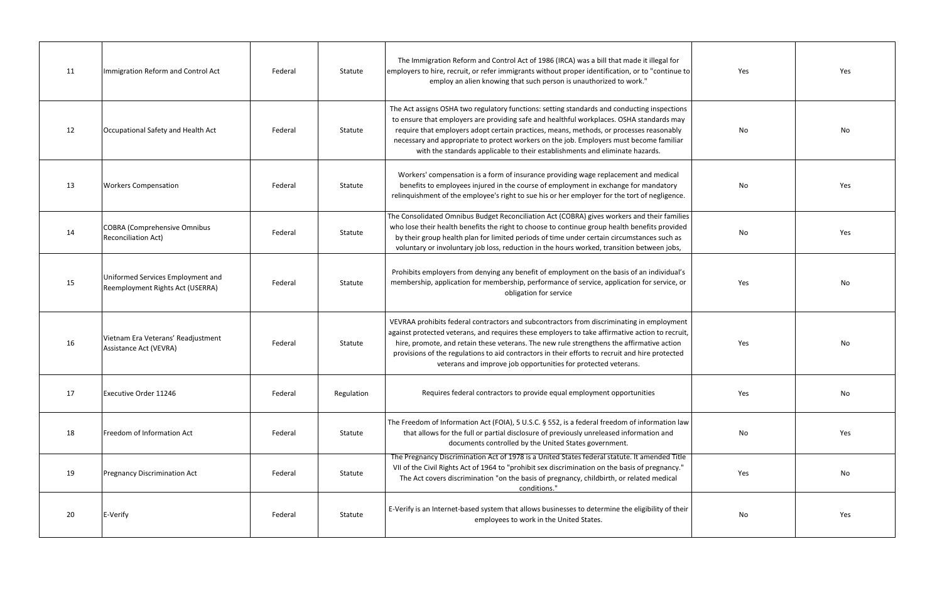| 11 | Immigration Reform and Control Act                                    | Federal | Statute    | The Immigration Reform and Control Act of 1986 (IRCA) was a bill that made it illegal for<br>employers to hire, recruit, or refer immigrants without proper identification, or to "continue to<br>employ an alien knowing that such person is unauthorized to work."                                                                                                                                                                                           | Yes | Yes |
|----|-----------------------------------------------------------------------|---------|------------|----------------------------------------------------------------------------------------------------------------------------------------------------------------------------------------------------------------------------------------------------------------------------------------------------------------------------------------------------------------------------------------------------------------------------------------------------------------|-----|-----|
| 12 | Occupational Safety and Health Act                                    | Federal | Statute    | The Act assigns OSHA two regulatory functions: setting standards and conducting inspections<br>to ensure that employers are providing safe and healthful workplaces. OSHA standards may<br>require that employers adopt certain practices, means, methods, or processes reasonably<br>necessary and appropriate to protect workers on the job. Employers must become familiar<br>with the standards applicable to their establishments and eliminate hazards.  | No  | No  |
| 13 | <b>Workers Compensation</b>                                           | Federal | Statute    | Workers' compensation is a form of insurance providing wage replacement and medical<br>benefits to employees injured in the course of employment in exchange for mandatory<br>relinquishment of the employee's right to sue his or her employer for the tort of negligence.                                                                                                                                                                                    | No  | Yes |
| 14 | <b>COBRA (Comprehensive Omnibus</b><br><b>Reconciliation Act)</b>     | Federal | Statute    | The Consolidated Omnibus Budget Reconciliation Act (COBRA) gives workers and their families<br>who lose their health benefits the right to choose to continue group health benefits provided<br>by their group health plan for limited periods of time under certain circumstances such as<br>voluntary or involuntary job loss, reduction in the hours worked, transition between jobs,                                                                       | No  | Yes |
| 15 | Uniformed Services Employment and<br>Reemployment Rights Act (USERRA) | Federal | Statute    | Prohibits employers from denying any benefit of employment on the basis of an individual's<br>membership, application for membership, performance of service, application for service, or<br>obligation for service                                                                                                                                                                                                                                            | Yes | No  |
| 16 | Vietnam Era Veterans' Readjustment<br>Assistance Act (VEVRA)          | Federal | Statute    | VEVRAA prohibits federal contractors and subcontractors from discriminating in employment<br>against protected veterans, and requires these employers to take affirmative action to recruit,<br>hire, promote, and retain these veterans. The new rule strengthens the affirmative action<br>provisions of the regulations to aid contractors in their efforts to recruit and hire protected<br>veterans and improve job opportunities for protected veterans. | Yes | No  |
| 17 | Executive Order 11246                                                 | Federal | Regulation | Requires federal contractors to provide equal employment opportunities                                                                                                                                                                                                                                                                                                                                                                                         | Yes | No  |
| 18 | Freedom of Information Act                                            | Federal | Statute    | The Freedom of Information Act (FOIA), 5 U.S.C. § 552, is a federal freedom of information law<br>that allows for the full or partial disclosure of previously unreleased information and<br>documents controlled by the United States government.                                                                                                                                                                                                             | No  | Yes |
| 19 | <b>Pregnancy Discrimination Act</b>                                   | Federal | Statute    | The Pregnancy Discrimination Act of 1978 is a United States federal statute. It amended Title<br>VII of the Civil Rights Act of 1964 to "prohibit sex discrimination on the basis of pregnancy."<br>The Act covers discrimination "on the basis of pregnancy, childbirth, or related medical<br>conditions."                                                                                                                                                   | Yes | No  |
| 20 | E-Verify                                                              | Federal | Statute    | E-Verify is an Internet-based system that allows businesses to determine the eligibility of their<br>employees to work in the United States.                                                                                                                                                                                                                                                                                                                   | No  | Yes |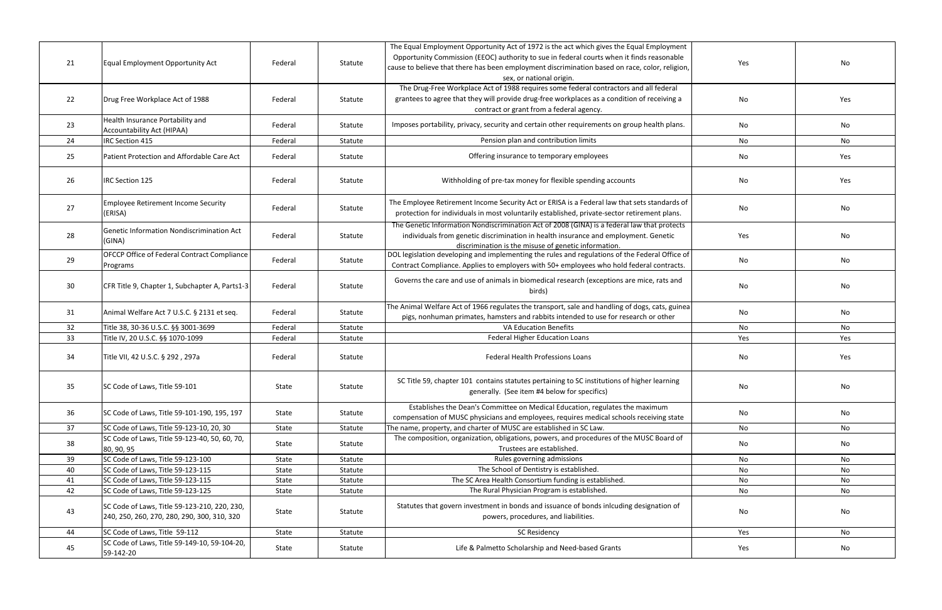| 21 | Equal Employment Opportunity Act                                                            | Federal | Statute | The Equal Employment Opportunity Act of 1972 is the act which gives the Equal Employment<br>Opportunity Commission (EEOC) authority to sue in federal courts when it finds reasonable<br>cause to believe that there has been employment discrimination based on race, color, religion,<br>sex, or national origin. | Yes | No  |
|----|---------------------------------------------------------------------------------------------|---------|---------|---------------------------------------------------------------------------------------------------------------------------------------------------------------------------------------------------------------------------------------------------------------------------------------------------------------------|-----|-----|
| 22 | Drug Free Workplace Act of 1988                                                             | Federal | Statute | The Drug-Free Workplace Act of 1988 requires some federal contractors and all federal<br>grantees to agree that they will provide drug-free workplaces as a condition of receiving a<br>contract or grant from a federal agency.                                                                                    | No  | Yes |
| 23 | Health Insurance Portability and<br>Accountability Act (HIPAA)                              | Federal | Statute | Imposes portability, privacy, security and certain other requirements on group health plans.                                                                                                                                                                                                                        | No  | No  |
| 24 | <b>IRC Section 415</b>                                                                      | Federal | Statute | Pension plan and contribution limits                                                                                                                                                                                                                                                                                | No  | No  |
| 25 | Patient Protection and Affordable Care Act                                                  | Federal | Statute | Offering insurance to temporary employees                                                                                                                                                                                                                                                                           | No  | Yes |
| 26 | <b>IRC Section 125</b>                                                                      | Federal | Statute | Withholding of pre-tax money for flexible spending accounts                                                                                                                                                                                                                                                         | No  | Yes |
| 27 | <b>Employee Retirement Income Security</b><br>(ERISA)                                       | Federal | Statute | The Employee Retirement Income Security Act or ERISA is a Federal law that sets standards of<br>protection for individuals in most voluntarily established, private-sector retirement plans.                                                                                                                        | No  | No  |
| 28 | Genetic Information Nondiscrimination Act<br>(GINA)                                         | Federal | Statute | The Genetic Information Nondiscrimination Act of 2008 (GINA) is a federal law that protects<br>individuals from genetic discrimination in health insurance and employment. Genetic<br>discrimination is the misuse of genetic information.                                                                          | Yes | No  |
| 29 | <b>OFCCP Office of Federal Contract Compliance</b><br>Programs                              | Federal | Statute | DOL legislation developing and implementing the rules and regulations of the Federal Office of<br>Contract Compliance. Applies to employers with 50+ employees who hold federal contracts.                                                                                                                          | No  | No  |
| 30 | CFR Title 9, Chapter 1, Subchapter A, Parts1-3                                              | Federal | Statute | Governs the care and use of animals in biomedical research (exceptions are mice, rats and<br>birds)                                                                                                                                                                                                                 | No  | No  |
| 31 | Animal Welfare Act 7 U.S.C. § 2131 et seq.                                                  | Federal | Statute | The Animal Welfare Act of 1966 regulates the transport, sale and handling of dogs, cats, guinea<br>pigs, nonhuman primates, hamsters and rabbits intended to use for research or other                                                                                                                              | No  | No  |
| 32 | Title 38, 30-36 U.S.C. §§ 3001-3699                                                         | Federal | Statute | <b>VA Education Benefits</b>                                                                                                                                                                                                                                                                                        | No  | No  |
| 33 | Title IV, 20 U.S.C. §§ 1070-1099                                                            | Federal | Statute | <b>Federal Higher Education Loans</b>                                                                                                                                                                                                                                                                               | Yes | Yes |
| 34 | Title VII, 42 U.S.C. § 292, 297a                                                            | Federal | Statute | <b>Federal Health Professions Loans</b>                                                                                                                                                                                                                                                                             | No  | Yes |
| 35 | SC Code of Laws, Title 59-101                                                               | State   | Statute | SC Title 59, chapter 101 contains statutes pertaining to SC institutions of higher learning<br>generally. (See item #4 below for specifics)                                                                                                                                                                         | No  | No  |
| 36 | SC Code of Laws, Title 59-101-190, 195, 197                                                 | State   | Statute | Establishes the Dean's Committee on Medical Education, regulates the maximum<br>compensation of MUSC physicians and employees, requires medical schools receiving state                                                                                                                                             | No  | No  |
| 37 | SC Code of Laws, Title 59-123-10, 20, 30                                                    | State   | Statute | The name, property, and charter of MUSC are established in SC Law.                                                                                                                                                                                                                                                  | No  | No  |
| 38 | SC Code of Laws, Title 59-123-40, 50, 60, 70,<br>80, 90, 95                                 | State   | Statute | The composition, organization, obligations, powers, and procedures of the MUSC Board of<br>Trustees are established.                                                                                                                                                                                                | No  | No  |
| 39 | SC Code of Laws, Title 59-123-100                                                           | State   | Statute | Rules governing admissions                                                                                                                                                                                                                                                                                          | No  | No  |
| 40 | SC Code of Laws, Title 59-123-115                                                           | State   | Statute | The School of Dentistry is established.                                                                                                                                                                                                                                                                             | No  | No  |
| 41 | SC Code of Laws, Title 59-123-115                                                           | State   | Statute | The SC Area Health Consortium funding is established.                                                                                                                                                                                                                                                               | No  | No  |
| 42 | SC Code of Laws, Title 59-123-125                                                           | State   | Statute | The Rural Physician Program is established.                                                                                                                                                                                                                                                                         | No  | No  |
| 43 | SC Code of Laws, Title 59-123-210, 220, 230,<br>240, 250, 260, 270, 280, 290, 300, 310, 320 | State   | Statute | Statutes that govern investment in bonds and issuance of bonds inlcuding designation of<br>powers, procedures, and liabilities.                                                                                                                                                                                     | No  | No  |
| 44 | SC Code of Laws, Title 59-112                                                               | State   | Statute | <b>SC Residency</b>                                                                                                                                                                                                                                                                                                 | Yes | No  |
| 45 | SC Code of Laws, Title 59-149-10, 59-104-20,<br>59-142-20                                   | State   | Statute | Life & Palmetto Scholarship and Need-based Grants                                                                                                                                                                                                                                                                   | Yes | No  |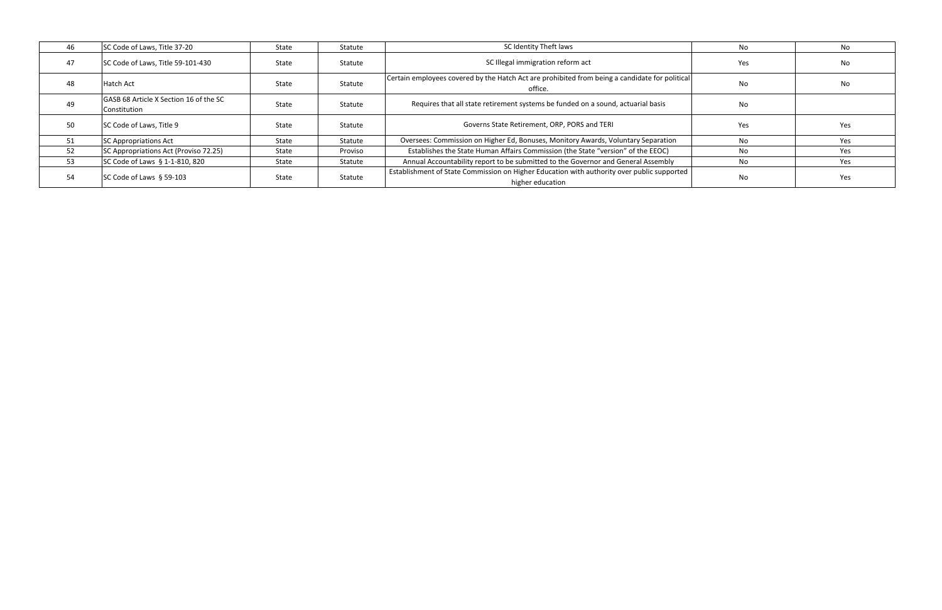| 46 | SC Code of Laws, Title 37-20                           | State        | Statute | SC Identity Theft laws                                                                                         | No. | No  |
|----|--------------------------------------------------------|--------------|---------|----------------------------------------------------------------------------------------------------------------|-----|-----|
| 47 | SC Code of Laws, Title 59-101-430                      | <b>State</b> | Statute | SC Illegal immigration reform act                                                                              | Yes | No  |
| 48 | Hatch Act                                              | State        | Statute | Certain employees covered by the Hatch Act are prohibited from being a candidate for political<br>office.      | No. | No  |
| 49 | GASB 68 Article X Section 16 of the SC<br>Constitution | State        | Statute | Requires that all state retirement systems be funded on a sound, actuarial basis                               | No. |     |
| 50 | SC Code of Laws, Title 9                               | <b>State</b> | Statute | Governs State Retirement, ORP, PORS and TERI                                                                   | Yes | Yes |
| 51 | <b>SC Appropriations Act</b>                           | State        | Statute | Oversees: Commission on Higher Ed, Bonuses, Monitory Awards, Voluntary Separation                              | No. | Yes |
| 52 | SC Appropriations Act (Proviso 72.25)                  | State        | Proviso | Establishes the State Human Affairs Commission (the State "version" of the EEOC)                               | No. | Yes |
| 53 | SC Code of Laws § 1-1-810, 820                         | State        | Statute | Annual Accountability report to be submitted to the Governor and General Assembly                              | No. | Yes |
| 54 | SC Code of Laws § 59-103                               | State        | Statute | Establishment of State Commission on Higher Education with authority over public supported<br>higher education | No. | Yes |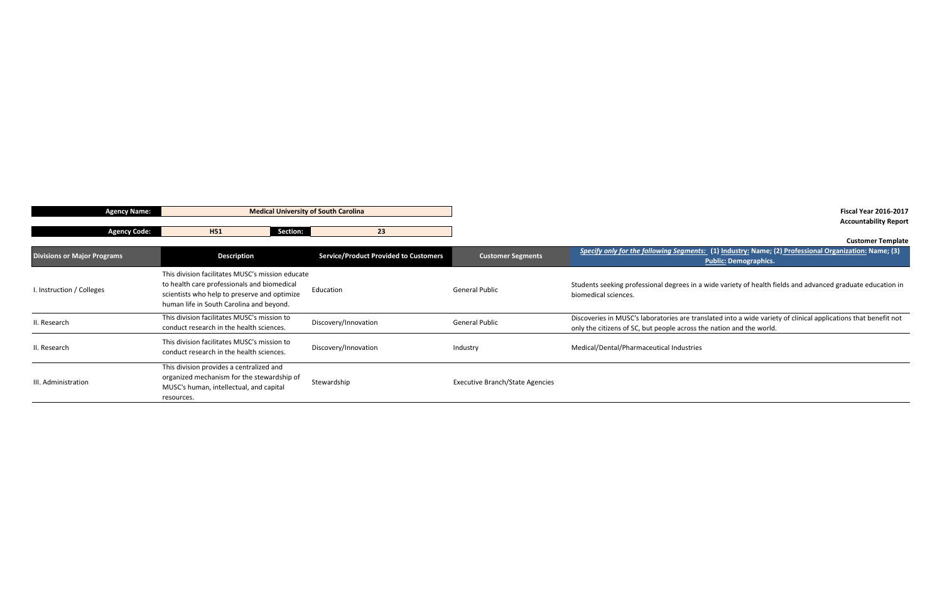**Divisions or Major Programs Description Customer Segments** *Specify only for the following Segments:* **(1) Industry: Name; (2) Professional Organization: Name; (3) Public: Demographics.** 

s in a wide variety of health fields and advanced graduate education in

Interal Public Discoversies in Austian Discoversies in Austinia Public Lincoversies in Muscle into a wide variety of clinical applications that benefit not oss the nation and the world.

| <b>Agency Name:</b>                | <b>Medical University of South Carolina</b>                                                                                                                                                 |                                              |                                        |                                                                                            |
|------------------------------------|---------------------------------------------------------------------------------------------------------------------------------------------------------------------------------------------|----------------------------------------------|----------------------------------------|--------------------------------------------------------------------------------------------|
| <b>Agency Code:</b>                | Section:<br>H <sub>51</sub>                                                                                                                                                                 | 23                                           |                                        |                                                                                            |
| <b>Divisions or Major Programs</b> | <b>Description</b>                                                                                                                                                                          | <b>Service/Product Provided to Customers</b> | <b>Customer Segments</b>               | Specify only for the following Segment                                                     |
| I. Instruction / Colleges          | This division facilitates MUSC's mission educate<br>to health care professionals and biomedical<br>scientists who help to preserve and optimize<br>human life in South Carolina and beyond. | Education                                    | <b>General Public</b>                  | Students seeking professional degrees in a<br>biomedical sciences.                         |
| II. Research                       | This division facilitates MUSC's mission to<br>conduct research in the health sciences.                                                                                                     | Discovery/Innovation                         | <b>General Public</b>                  | Discoveries in MUSC's laboratories are tra<br>only the citizens of SC, but people across t |
| II. Research                       | This division facilitates MUSC's mission to<br>conduct research in the health sciences.                                                                                                     | Discovery/Innovation                         | Industry                               | Medical/Dental/Pharmaceutical Industries                                                   |
| III. Administration                | This division provides a centralized and<br>organized mechanism for the stewardship of<br>MUSC's human, intellectual, and capital<br>resources.                                             | Stewardship                                  | <b>Executive Branch/State Agencies</b> |                                                                                            |

**Fiscal Year 2016-2017 Accountability Report**

**Customer Template**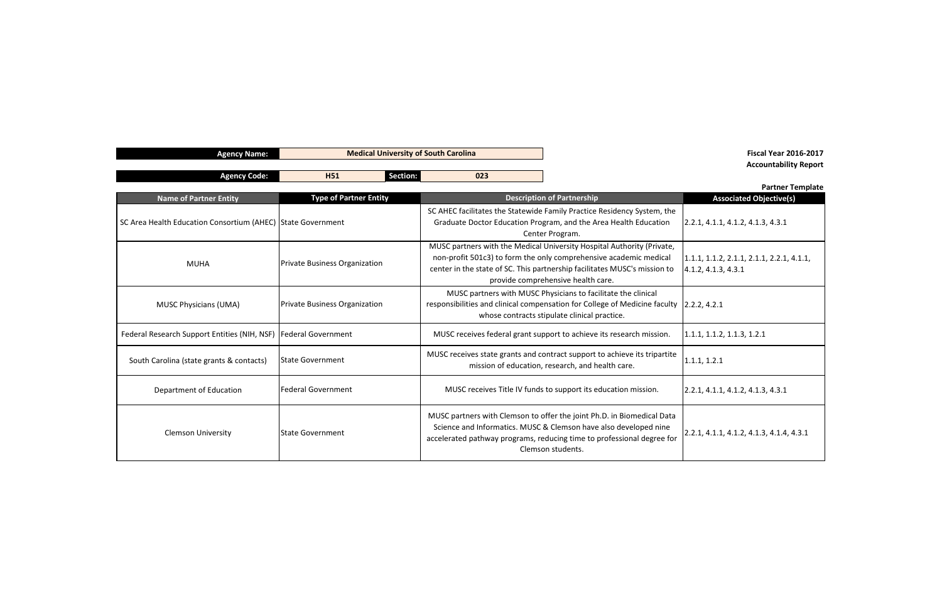**Name of Partner Entity Associated Objective(s)**  $3.2.1, 4.1.1, 4.1.2, 4.1.3, 4.3.1$ 

MUHA 1.1.1, 1.1.2, 2.1.1, 2.1.1, 2.2.1, 4.1.1, 4.1.2, 4.1.3, 4.3.1

 $.1.1, 1.1.2, 1.1.3, 1.2.1$ 

 $0.2.1, 4.1.1, 4.1.2, 4.1.3, 4.3.1$ 

C.1, 4.1.1, 4.1.2, 4.1.3, 4.1.4, 4.3.1.

| <b>Agency Name:</b>                                         | <b>Medical University of South Carolina</b> |                                                                                                                                                                                                                                                                |                                                                                                                               |                              |
|-------------------------------------------------------------|---------------------------------------------|----------------------------------------------------------------------------------------------------------------------------------------------------------------------------------------------------------------------------------------------------------------|-------------------------------------------------------------------------------------------------------------------------------|------------------------------|
| <b>Agency Code:</b>                                         | <b>Section:</b><br><b>H51</b>               | 023                                                                                                                                                                                                                                                            |                                                                                                                               |                              |
| <b>Name of Partner Entity</b>                               | <b>Type of Partner Entity</b>               |                                                                                                                                                                                                                                                                | <b>Description of Partnership</b>                                                                                             | As:                          |
| SC Area Health Education Consortium (AHEC) State Government |                                             | SC AHEC facilitates the Statewide Family Practice Residency System, the<br>Graduate Doctor Education Program, and the Area Health Education<br>Center Program.                                                                                                 |                                                                                                                               |                              |
| <b>Private Business Organization</b><br><b>MUHA</b>         |                                             | MUSC partners with the Medical University Hospital Authority (Private,<br>non-profit 501c3) to form the only comprehensive academic medical<br>center in the state of SC. This partnership facilitates MUSC's mission to<br>provide comprehensive health care. |                                                                                                                               | 1.1.1, 1.1.2<br>4.1.2, 4.1.3 |
| <b>MUSC Physicians (UMA)</b>                                | <b>Private Business Organization</b>        | MUSC partners with MUSC Physicians to facilitate the clinical<br>responsibilities and clinical compensation for College of Medicine faculty<br>2.2.2, 4.2.1<br>whose contracts stipulate clinical practice.                                                    |                                                                                                                               |                              |
| Federal Research Support Entities (NIH, NSF)                | <b>Federal Government</b>                   |                                                                                                                                                                                                                                                                | MUSC receives federal grant support to achieve its research mission.                                                          | 1.1.1, 1.1.2                 |
| South Carolina (state grants & contacts)                    | <b>State Government</b>                     |                                                                                                                                                                                                                                                                | MUSC receives state grants and contract support to achieve its tripartite<br>mission of education, research, and health care. | 1.1.1, 1.2.1                 |
| <b>Federal Government</b><br>Department of Education        |                                             | MUSC receives Title IV funds to support its education mission.                                                                                                                                                                                                 |                                                                                                                               | 2.2.1, 4.1.1                 |
| <b>Clemson University</b><br><b>State Government</b>        |                                             | MUSC partners with Clemson to offer the joint Ph.D. in Biomedical Data<br>Science and Informatics. MUSC & Clemson have also developed nine<br>accelerated pathway programs, reducing time to professional degree for<br>Clemson students.                      |                                                                                                                               | 2.2.1, 4.1.1                 |

## **Fiscal Year 2016-2017 Accountability Report**

## **Partner Template**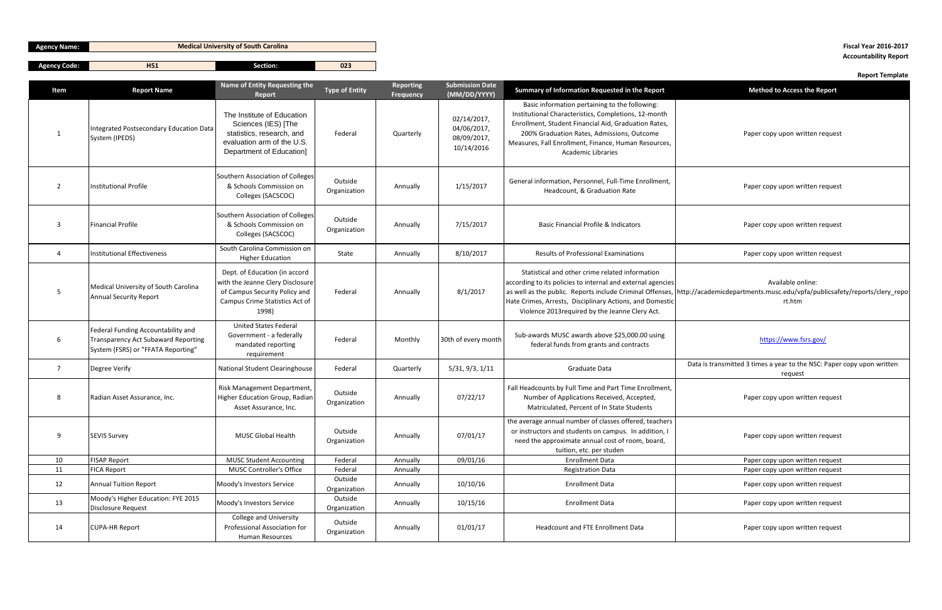| . .<br>Agancy<br>:ode:<br>التفاعلات | <b>LIP</b><br>. | −<br>ction:<br>sec | $\sim$<br>uzj |
|-------------------------------------|-----------------|--------------------|---------------|
|                                     |                 |                    |               |

|                |                                                                                                                 |                                                                                                                                               |                         |                               |                                                         |                                                                                                                                                                                                                                                                                                   | керогт гетріате                                                                                                                                                   |
|----------------|-----------------------------------------------------------------------------------------------------------------|-----------------------------------------------------------------------------------------------------------------------------------------------|-------------------------|-------------------------------|---------------------------------------------------------|---------------------------------------------------------------------------------------------------------------------------------------------------------------------------------------------------------------------------------------------------------------------------------------------------|-------------------------------------------------------------------------------------------------------------------------------------------------------------------|
| Item           | <b>Report Name</b>                                                                                              | Name of Entity Requesting the<br>Report                                                                                                       | <b>Type of Entity</b>   | <b>Reporting</b><br>Frequency | <b>Submission Date</b><br>(MM/DD/YYYY)                  | Summary of Information Requested in the Report                                                                                                                                                                                                                                                    | <b>Method to Access the Report</b>                                                                                                                                |
| -1             | Integrated Postsecondary Education Data<br>System (IPEDS)                                                       | The Institute of Education<br>Sciences (IES) [The<br>statistics, research, and<br>evaluation arm of the U.S.<br>Department of Education]      | Federal                 | Quarterly                     | 02/14/2017,<br>04/06/2017,<br>08/09/2017,<br>10/14/2016 | Basic information pertaining to the following:<br>Institutional Characteristics, Completions, 12-month<br>Enrollment, Student Financial Aid, Graduation Rates,<br>200% Graduation Rates, Admissions, Outcome<br>Measures, Fall Enrollment, Finance, Human Resources,<br><b>Academic Libraries</b> | Paper copy upon written request                                                                                                                                   |
| $\overline{2}$ | <b>Institutional Profile</b>                                                                                    | Southern Association of Colleges<br>& Schools Commission on<br>Colleges (SACSCOC)                                                             | Outside<br>Organization | Annually                      | 1/15/2017                                               | General information, Personnel, Full-Time Enrollment,<br>Headcount, & Graduation Rate                                                                                                                                                                                                             | Paper copy upon written request                                                                                                                                   |
| 3              | <b>Financial Profile</b>                                                                                        | Southern Association of Colleges<br>& Schools Commission on<br>Colleges (SACSCOC)                                                             | Outside<br>Organization | Annually                      | 7/15/2017                                               | <b>Basic Financial Profile &amp; Indicators</b>                                                                                                                                                                                                                                                   | Paper copy upon written request                                                                                                                                   |
| 4              | <b>Institutional Effectiveness</b>                                                                              | South Carolina Commission on<br><b>Higher Education</b>                                                                                       | State                   | Annually                      | 8/10/2017                                               | <b>Results of Professional Examinations</b>                                                                                                                                                                                                                                                       | Paper copy upon written request                                                                                                                                   |
| 5 <sub>5</sub> | Medical University of South Carolina<br><b>Annual Security Report</b>                                           | Dept. of Education (in accord<br>with the Jeanne Clery Disclosure<br>of Campus Security Policy and<br>Campus Crime Statistics Act of<br>1998) | Federal                 | Annually                      | 8/1/2017                                                | Statistical and other crime related information<br>according to its policies to internal and external agencies<br>Hate Crimes, Arrests, Disciplinary Actions, and Domestic<br>Violence 2013 required by the Jeanne Clery Act.                                                                     | Available online:<br>as well as the public. Reports include Criminal Offenses, http://academicdepartments.musc.edu/vpfa/publicsafety/reports/clery repo<br>rt.htm |
| 6              | Federal Funding Accountability and<br>Transparency Act Subaward Reporting<br>System (FSRS) or "FFATA Reporting" | United States Federal<br>Government - a federally<br>mandated reporting<br>requirement                                                        | Federal                 | Monthly                       | 30th of every month                                     | Sub-awards MUSC awards above \$25,000.00 using<br>federal funds from grants and contracts                                                                                                                                                                                                         | https://www.fsrs.gov/                                                                                                                                             |
| 7              | Degree Verify                                                                                                   | National Student Clearinghouse                                                                                                                | Federal                 | Quarterly                     | 5/31, 9/3, 1/11                                         | Graduate Data                                                                                                                                                                                                                                                                                     | Data is transmitted 3 times a year to the NSC: Paper copy upon written<br>request                                                                                 |
| 8              | Radian Asset Assurance, Inc.                                                                                    | Risk Management Department,<br>Higher Education Group, Radian<br>Asset Assurance, Inc.                                                        | Outside<br>Organization | Annually                      | 07/22/17                                                | Fall Headcounts by Full Time and Part Time Enrollment,<br>Number of Applications Received, Accepted,<br>Matriculated, Percent of In State Students                                                                                                                                                | Paper copy upon written request                                                                                                                                   |
| 9              | <b>SEVIS Survey</b>                                                                                             | <b>MUSC Global Health</b>                                                                                                                     | Outside<br>Organization | Annually                      | 07/01/17                                                | the average annual number of classes offered, teachers<br>or instructors and students on campus. In addition, I<br>need the approximate annual cost of room, board,<br>tuition, etc. per studen                                                                                                   | Paper copy upon written request                                                                                                                                   |
| 10             | <b>FISAP Report</b>                                                                                             | <b>MUSC Student Accounting</b>                                                                                                                | Federal                 | Annually                      | 09/01/16                                                | <b>Enrollment Data</b>                                                                                                                                                                                                                                                                            | Paper copy upon written request                                                                                                                                   |
| 11             | <b>FICA Report</b>                                                                                              | <b>MUSC Controller's Office</b>                                                                                                               | Federal                 | Annually                      |                                                         | <b>Registration Data</b>                                                                                                                                                                                                                                                                          | Paper copy upon written request                                                                                                                                   |
| 12             | <b>Annual Tuition Report</b>                                                                                    | Moody's Investors Service                                                                                                                     | Outside<br>Organization | Annually                      | 10/10/16                                                | <b>Enrollment Data</b>                                                                                                                                                                                                                                                                            | Paper copy upon written request                                                                                                                                   |
| 13             | Moody's Higher Education: FYE 2015<br>Disclosure Request                                                        | Moody's Investors Service                                                                                                                     | Outside<br>Organization | Annually                      | 10/15/16                                                | <b>Enrollment Data</b>                                                                                                                                                                                                                                                                            | Paper copy upon written request                                                                                                                                   |
| 14             | <b>CUPA-HR Report</b>                                                                                           | <b>College and University</b><br>Professional Association for<br>Human Resources                                                              | Outside<br>Organization | Annually                      | 01/01/17                                                | Headcount and FTE Enrollment Data                                                                                                                                                                                                                                                                 | Paper copy upon written request                                                                                                                                   |

# **Accountability Report**

## **Report Template**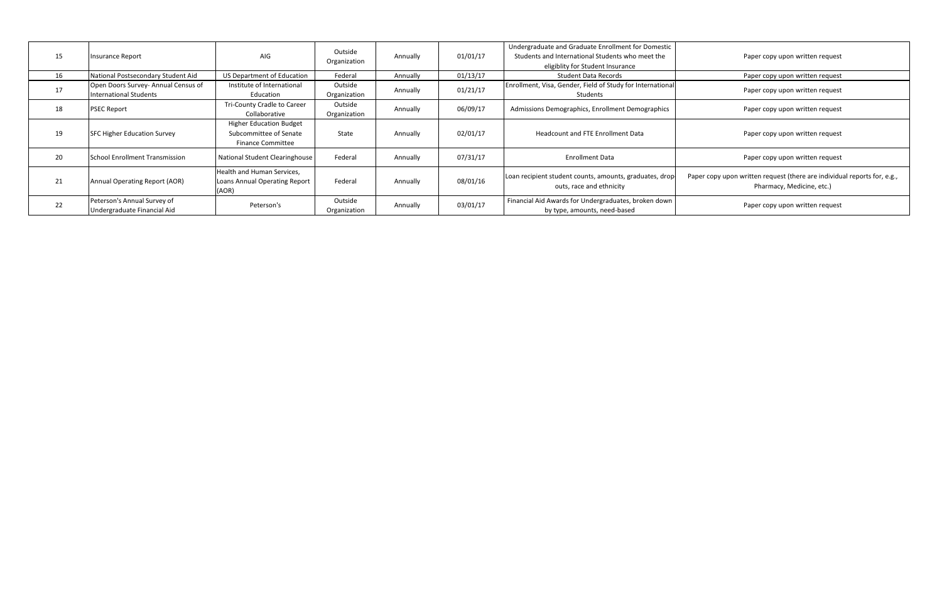Paper copy upon written request

Paper copy upon written request

Paper copy upon written request

Paper copy upon written request

Paper copy upon written request

Paper copy upon written request

| 15 | Insurance Report                                                     | AIG                                                                                  | Outside<br>Organization | Annually | 01/01/17 | Undergraduate and Graduate Enrollment for Domestic<br>Students and International Students who meet the<br>eligiblity for Student Insurance |  |
|----|----------------------------------------------------------------------|--------------------------------------------------------------------------------------|-------------------------|----------|----------|--------------------------------------------------------------------------------------------------------------------------------------------|--|
| 16 | National Postsecondary Student Aid                                   | US Department of Education                                                           | Federal                 | Annually | 01/13/17 | <b>Student Data Records</b>                                                                                                                |  |
| 17 | Open Doors Survey- Annual Census of<br><b>International Students</b> | Institute of International<br>Education                                              | Outside<br>Organization | Annually | 01/21/17 | Enrollment, Visa, Gender, Field of Study for International<br>Students                                                                     |  |
| 18 | <b>PSEC Report</b>                                                   | Tri-County Cradle to Career<br>Collaborative                                         | Outside<br>Organization | Annually | 06/09/17 | Admissions Demographics, Enrollment Demographics                                                                                           |  |
| 19 | <b>SFC Higher Education Survey</b>                                   | <b>Higher Education Budget</b><br>Subcommittee of Senate<br><b>Finance Committee</b> | State                   | Annually | 02/01/17 | <b>Headcount and FTE Enrollment Data</b>                                                                                                   |  |
| 20 | <b>School Enrollment Transmission</b>                                | <b>National Student Clearinghouse</b>                                                | Federal                 | Annually | 07/31/17 | <b>Enrollment Data</b>                                                                                                                     |  |
| 21 | Annual Operating Report (AOR)                                        | Health and Human Services,<br>Loans Annual Operating Report<br>(AOR)                 | Federal                 | Annually | 08/01/16 | Loan recipient student counts, amounts, graduates, drop-<br>outs, race and ethnicity                                                       |  |
| 22 | Peterson's Annual Survey of<br>Undergraduate Financial Aid           | Peterson's                                                                           | Outside<br>Organization | Annually | 03/01/17 | Financial Aid Awards for Undergraduates, broken down<br>by type, amounts, need-based                                                       |  |

Paper copy upon written request (there are individual reports for, e.g., Pharmacy, Medicine, etc.)

Paper copy upon written request